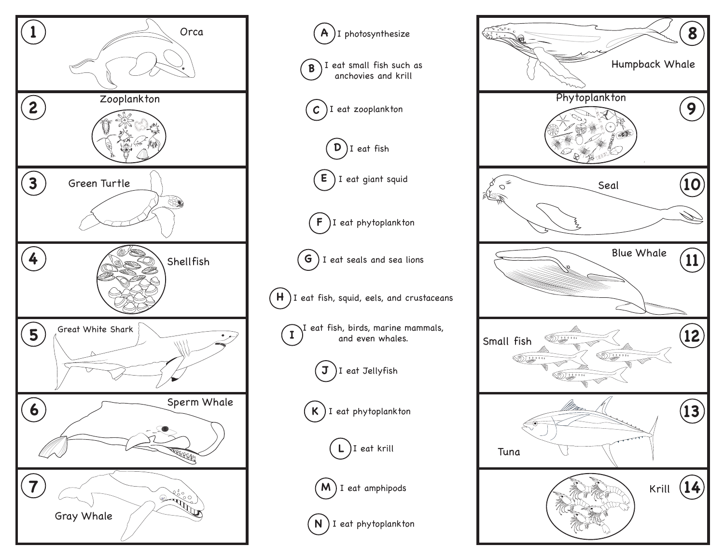